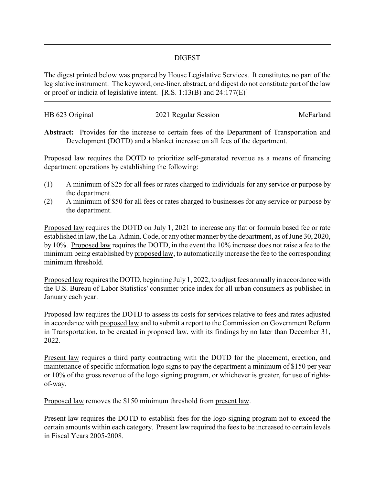## DIGEST

The digest printed below was prepared by House Legislative Services. It constitutes no part of the legislative instrument. The keyword, one-liner, abstract, and digest do not constitute part of the law or proof or indicia of legislative intent. [R.S. 1:13(B) and 24:177(E)]

| HB 623 Original | 2021 Regular Session | McFarland |
|-----------------|----------------------|-----------|
|                 |                      |           |

**Abstract:** Provides for the increase to certain fees of the Department of Transportation and Development (DOTD) and a blanket increase on all fees of the department.

Proposed law requires the DOTD to prioritize self-generated revenue as a means of financing department operations by establishing the following:

- (1) A minimum of \$25 for all fees or rates charged to individuals for any service or purpose by the department.
- (2) A minimum of \$50 for all fees or rates charged to businesses for any service or purpose by the department.

Proposed law requires the DOTD on July 1, 2021 to increase any flat or formula based fee or rate established in law, the La. Admin. Code, or any other manner by the department, as of June 30, 2020, by 10%. Proposed law requires the DOTD, in the event the 10% increase does not raise a fee to the minimum being established by proposed law, to automatically increase the fee to the corresponding minimum threshold.

Proposed law requires the DOTD, beginning July 1, 2022, to adjust fees annually in accordance with the U.S. Bureau of Labor Statistics' consumer price index for all urban consumers as published in January each year.

Proposed law requires the DOTD to assess its costs for services relative to fees and rates adjusted in accordance with proposed law and to submit a report to the Commission on Government Reform in Transportation, to be created in proposed law, with its findings by no later than December 31, 2022.

Present law requires a third party contracting with the DOTD for the placement, erection, and maintenance of specific information logo signs to pay the department a minimum of \$150 per year or 10% of the gross revenue of the logo signing program, or whichever is greater, for use of rightsof-way.

Proposed law removes the \$150 minimum threshold from present law.

Present law requires the DOTD to establish fees for the logo signing program not to exceed the certain amounts within each category. Present law required the fees to be increased to certain levels in Fiscal Years 2005-2008.